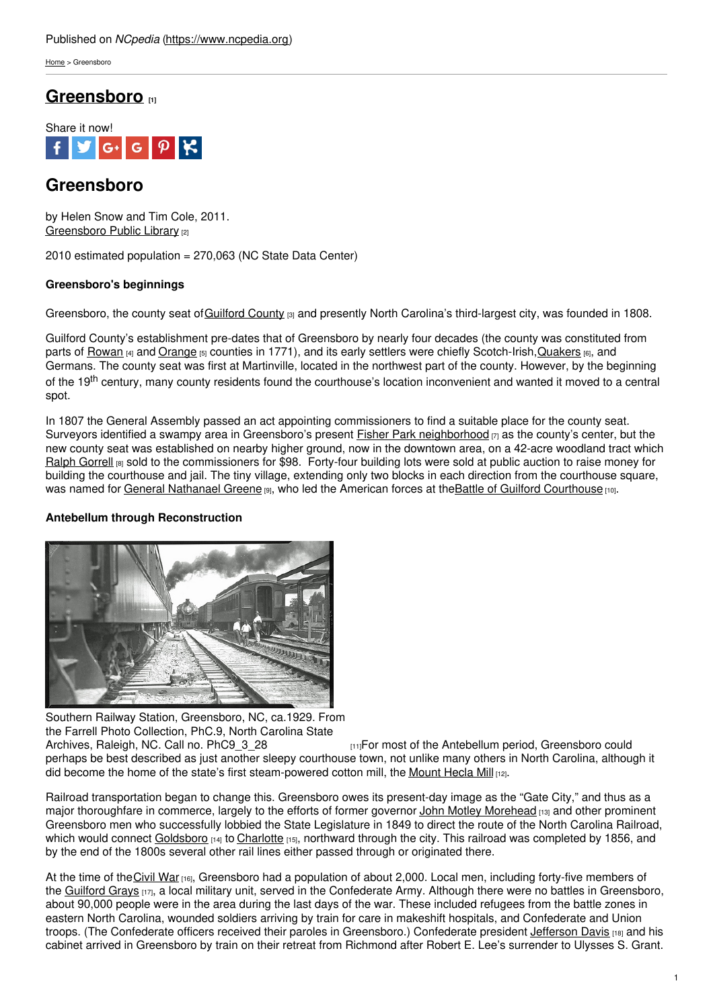[Home](https://www.ncpedia.org/) > Greensboro

# **[Greensboro](https://www.ncpedia.org/greensboro-0) [1]**



# **Greensboro**

by Helen Snow and Tim Cole, 2011. [Greensboro](https://library.greensboro-nc.gov/) Public Library [2]

2010 estimated population = 270,063 (NC State Data Center)

## **Greensboro's beginnings**

Greensboro, the county seat of [Guilford](https://www.ncpedia.org/geography/guilford) [County](http://www.social9.com)  $\sin$  and presently North Carolina's third-largest city, was founded in 1808.

Guilford County's establishment pre-dates that of Greensboro by nearly four decades (the county was constituted from parts of [Rowan](https://www.ncpedia.org/geography/rowan) [4] and [Orange](https://www.ncpedia.org/geography/orange) [5] counties in 1771), and its early settlers were chiefly Scotch-Irish, Quakers [6], and Germans. The county seat was first at Martinville, located in the northwest part of the county. However, by the beginning of the 19<sup>th</sup> century, many county residents found the courthouse's location inconvenient and wanted it moved to a central spot.

In 1807 the General Assembly passed an act appointing commissioners to find a suitable place for the county seat. Surveyors identified a swampy area in Greensboro's present **Fisher Park [neighborhood](https://www.fisherparknc.org/)**  $n_1$  as the county's center, but the new county seat was established on nearby higher ground, now in the downtown area, on a 42-acre woodland tract which Ralph [Gorrell](https://www.ncpedia.org/biography/gorrell-ralph) [8] sold to the commissioners for \$98. Forty-four building lots were sold at public auction to raise money for building the courthouse and jail. The tiny village, extending only two blocks in each direction from the courthouse square, was named for General [Nathanael](https://www.georgiaencyclopedia.org/articles/history-archaeology/nathanael-greene-1742-1786) Greene [9], who led the American forces at the Battle of Guilford [Courthouse](https://www.ncpedia.org/history/usrevolution/guilford-courthouse) [10].

### **Antebellum through Reconstruction**



Southern Railway Station, Greensboro, NC, ca.1929. From the Farrell Photo Collection, PhC.9, North Carolina State<br>Archives. Raleigh. NC. Call no. PhC9 3 28

 $H<sub>111</sub>For most of the Antebellum period. Greensboro could$ perhaps be best described as just another sleepy courthouse town, not unlike many others in North Carolina, although it did become the home of the state's first steam-powered cotton mill, the [Mount](http://www.ncmarkers.com/Markers.aspx?MarkerId=J-104) Hecla Mill [12].

Railroad transportation began to change this. Greensboro owes its present-day image as the "Gate City," and thus as a major thoroughfare in commerce, largely to the efforts of former governor John Motley [Morehead](https://www.ncpedia.org/morehead-john-motley-research) [13] and other prominent Greensboro men who successfully lobbied the State Legislature in 1849 to direct the route of the North Carolina Railroad, which would connect [Goldsboro](https://www.goldsboronc.gov/) [14] to [Charlotte](https://www.ncpedia.org/geography/charlotte) [15], northward through the city. This railroad was completed by 1856, and by the end of the 1800s several other rail lines either passed through or originated there.

At the time of the [Civil](https://www.ncpedia.org/history/cw-1900/civil-war) War [16], Greensboro had a population of about 2,000. Local men, including forty-five members of the [Guilford](https://archive.org/details/reminiscencesofg00sloa) Grays [17], a local military unit, served in the Confederate Army. Although there were no battles in Greensboro, about 90,000 people were in the area during the last days of the war. These included refugees from the battle zones in eastern North Carolina, wounded soldiers arriving by train for care in makeshift hospitals, and Confederate and Union troops. (The Confederate officers received their paroles in Greensboro.) Confederate president *[Jefferson](https://jeffersondavis.rice.edu/) Davis* [18] and his cabinet arrived in Greensboro by train on their retreat from Richmond after Robert E. Lee's surrender to Ulysses S. Grant.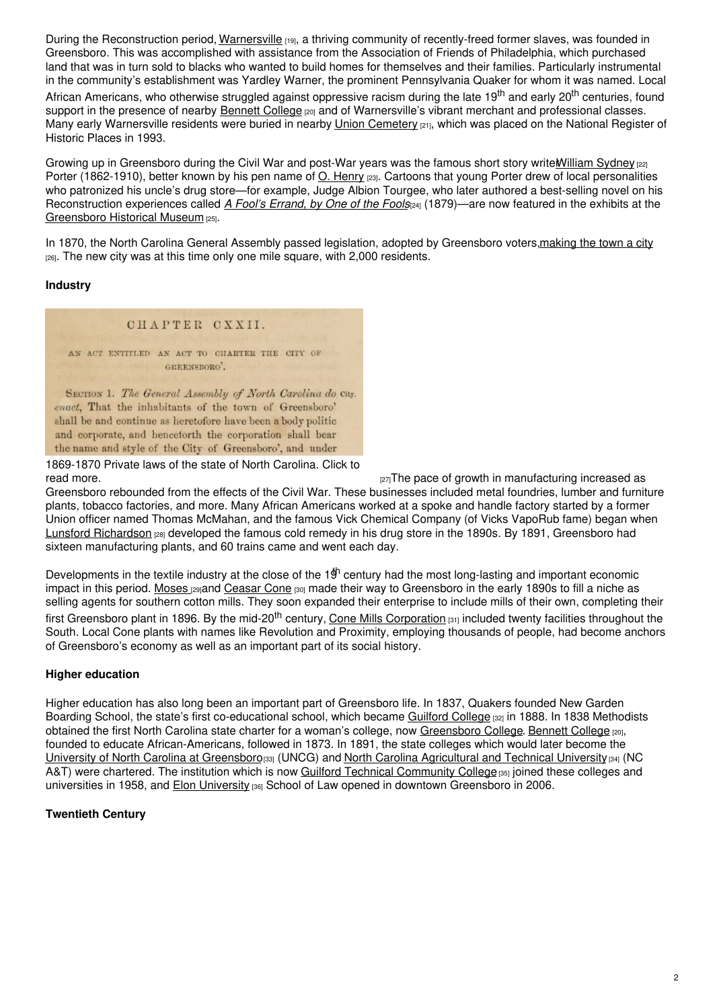During the Reconstruction period, [Warnersville](https://www.greensboro-nc.gov/departments/planning/learn-more-about/historic-preservation/heritage-communities/warnersville) [19], a thriving community of recently-freed former slaves, was founded in Greensboro. This was accomplished with assistance from the Association of Friends of Philadelphia, which purchased land that was in turn sold to blacks who wanted to build homes for themselves and their families. Particularly instrumental in the community's establishment was Yardley Warner, the prominent Pennsylvania Quaker for whom it was named. Local African Americans, who otherwise struggled against oppressive racism during the late 19<sup>th</sup> and early 20<sup>th</sup> centuries, found support in the presence of nearby [Bennett](https://www.ncpedia.org/bennett-college) College  $_{[20]}$  and of Warnersville's vibrant merchant and professional classes. Many early Warnersville residents were buried in nearby *Union [Cemetery](https://www.greensboro-nc.gov/departments/cemeteries/union)* [21], which was placed on the National Register of Historic Places in 1993.

Growing up in Greensboro during the Civil War and post-War years was the famous short story write William Sydney [22] Porter (1862-1910), better known by his pen name of O. [Henry](https://www.ncpedia.org/biography/porter-william-sidney) [23]. Cartoons that young Porter drew of local personalities who patronized his uncle's drug store—for example, Judge Albion Tourgee, who later authored a best-selling novel on his Reconstruction experiences called *A Fool's [Errand,](https://docsouth.unc.edu/church/tourgee/menu.html) by One of the Fools*[24] (1879)—are now featured in the exhibits at the [Greensboro](https://greensborohistory.org/) Historical Museum [25].

In 1870, the North Carolina General Assembly passed legislation, adopted by Greensboro voters, making the town a city [26]. The new city was at this time only one mile square, with 2,000 residents.

### **Industry**

#### CHAPTER CXXII.

AN ACT ENTITLED AN ACT TO CHARTER THE CITY OF GREENSRORO'.

SECTION 1. The General Assembly of North Carolina do City. enact. That the inhabitants of the town of Greensboro' shall be and continue as heretofore have been a body politic and corporate, and henceforth the corporation shall bear the name and style of the City of Greensboro', and under

1869-1870 Private laws of the state of North Carolina. Click to

 $_{[27]}$ The pace of growth in manufacturing increased as

Greensboro rebounded from the effects of the Civil War. These businesses included metal foundries, lumber and furniture plants, tobacco factories, and more. Many African Americans worked at a spoke and handle factory started by a former Union officer named Thomas McMahan, and the famous Vick Chemical Company (of Vicks VapoRub fame) began when Lunsford [Richardson](https://www.ncpedia.org/biography/richardson-lunsford-0) [28] developed the famous cold remedy in his drug store in the 1890s. By 1891, Greensboro had sixteen manufacturing plants, and 60 trains came and went each day.

Developments in the textile industry at the close of the  $1\dot{}}^{\text{h}}$  century had the most long-lasting and important economic impact in this period. [Moses](https://www.ncpedia.org/biography/cone-moses-herman) [29]and [Ceasar](https://www.ncpedia.org/biography/cone-ceasar) Cone [30] made their way to Greensboro in the early 1890s to fill a niche as selling agents for southern cotton mills. They soon expanded their enterprise to include mills of their own, completing their first Greensboro plant in 1896. By the mid-20<sup>th</sup> century, <u>Cone Mills [Corporation](https://blogs.lib.unc.edu/shc/2009/01/01/creator-of-the-month-cone-mills-corporation/) [31]</u> included twenty facilities throughout the South. Local Cone plants with names like Revolution and Proximity, employing thousands of people, had become anchors of Greensboro's economy as well as an important part of its social history.

### **Higher education**

Higher education has also long been an important part of Greensboro life. In 1837, Quakers founded New Garden Boarding School, the state's first co-educational school, which became [Guilford](https://www.ncpedia.org/guilford-college) College [32] in 1888. In 1838 Methodists obtained the first North Carolina state charter for a woman's college, now [Greensboro](https://www.ncpedia.org/greensboro-0#) College. [Bennett](https://www.ncpedia.org/bennett-college) College [20], founded to educate African-Americans, followed in 1873. In 1891, the state colleges which would later become the University of North Carolina at [Greensboro](https://www.ncpedia.org/university-north-carolina-greensbor)[33] (UNCG) and North Carolina [Agricultural](https://www.ncat.edu/) and Technical University [34] (NC A&T) were chartered. The institution which is now Guilford Technical [Community](https://www.gtcc.edu/) College [35] joined these colleges and universities in 1958, and Elon [University](https://www.ncpedia.org/elon-university) [36] School of Law opened in downtown Greensboro in 2006.

### **Twentieth Century**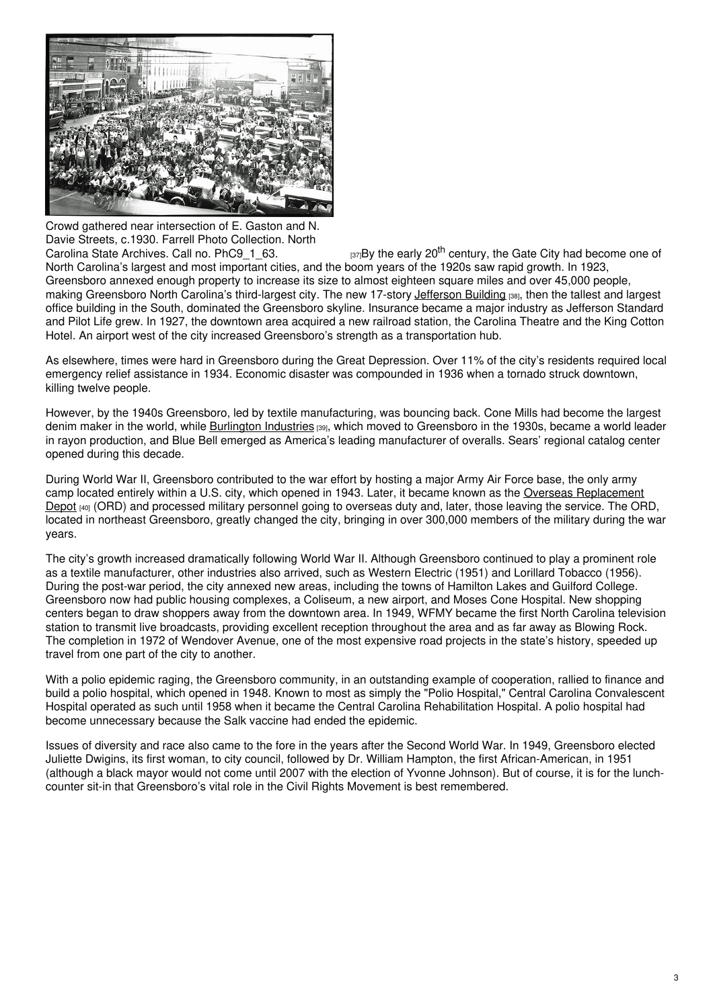

Crowd gathered near intersection of E. Gaston and N. Davie Streets, c.1930. Farrell Photo Collection. North

Carolina State Archives. Call no. [PhC9\\_1\\_63.](https://www.flickr.com/photos/north-carolina-state-archives/3008268838/)  $t<sub>[37]</sub>By the early 20<sup>th</sup> century, the Gate City had become one of$ North Carolina's largest and most important cities, and the boom years of the 1920s saw rapid growth. In 1923, Greensboro annexed enough property to increase its size to almost eighteen square miles and over 45,000 people, making Greensboro North Carolina's third-largest city. The new 17-story [Jefferson](https://library.greensboro-nc.gov/research/north-carolina-collection/historical-walking-tour/101-117-n-elm-street-jefferson-building) Building [38], then the tallest and largest office building in the South, dominated the Greensboro skyline. Insurance became a major industry as Jefferson Standard and Pilot Life grew. In 1927, the downtown area acquired a new railroad station, the Carolina Theatre and the King Cotton Hotel. An airport west of the city increased Greensboro's strength as a transportation hub.

As elsewhere, times were hard in Greensboro during the Great Depression. Over 11% of the city's residents required local emergency relief assistance in 1934. Economic disaster was compounded in 1936 when a tornado struck downtown, killing twelve people.

However, by the 1940s Greensboro, led by textile manufacturing, was bouncing back. Cone Mills had become the largest denim maker in the world, while [Burlington](https://www.ncpedia.org/burlington-industries) Industries [39], which moved to Greensboro in the 1930s, became a world leader in rayon production, and Blue Bell emerged as America's leading manufacturer of overalls. Sears' regional catalog center opened during this decade.

During World War II, Greensboro contributed to the war effort by hosting a major Army Air Force base, the only army camp located entirely within a U.S. city, which opened in 1943. Later, it became known as the Overseas [Replacement](http://www.ncmarkers.com/Markers.aspx?MarkerId=J-73) Depot [40] (ORD) and processed military personnel going to overseas duty and, later, those leaving the service. The ORD, located in northeast Greensboro, greatly changed the city, bringing in over 300,000 members of the military during the war years.

The city's growth increased dramatically following World War II. Although Greensboro continued to play a prominent role as a textile manufacturer, other industries also arrived, such as Western Electric (1951) and Lorillard Tobacco (1956). During the post-war period, the city annexed new areas, including the towns of Hamilton Lakes and Guilford College. Greensboro now had public housing complexes, a Coliseum, a new airport, and Moses Cone Hospital. New shopping centers began to draw shoppers away from the downtown area. In 1949, WFMY became the first North Carolina television station to transmit live broadcasts, providing excellent reception throughout the area and as far away as Blowing Rock. The completion in 1972 of Wendover Avenue, one of the most expensive road projects in the state's history, speeded up travel from one part of the city to another.

With a polio epidemic raging, the Greensboro community, in an outstanding example of cooperation, rallied to finance and build a polio hospital, which opened in 1948. Known to most as simply the "Polio Hospital," Central Carolina Convalescent Hospital operated as such until 1958 when it became the Central Carolina Rehabilitation Hospital. A polio hospital had become unnecessary because the Salk vaccine had ended the epidemic.

Issues of diversity and race also came to the fore in the years after the Second World War. In 1949, Greensboro elected Juliette Dwigins, its first woman, to city council, followed by Dr. William Hampton, the first African-American, in 1951 (although a black mayor would not come until 2007 with the election of Yvonne Johnson). But of course, it is for the lunchcounter sit-in that Greensboro's vital role in the Civil Rights Movement is best remembered.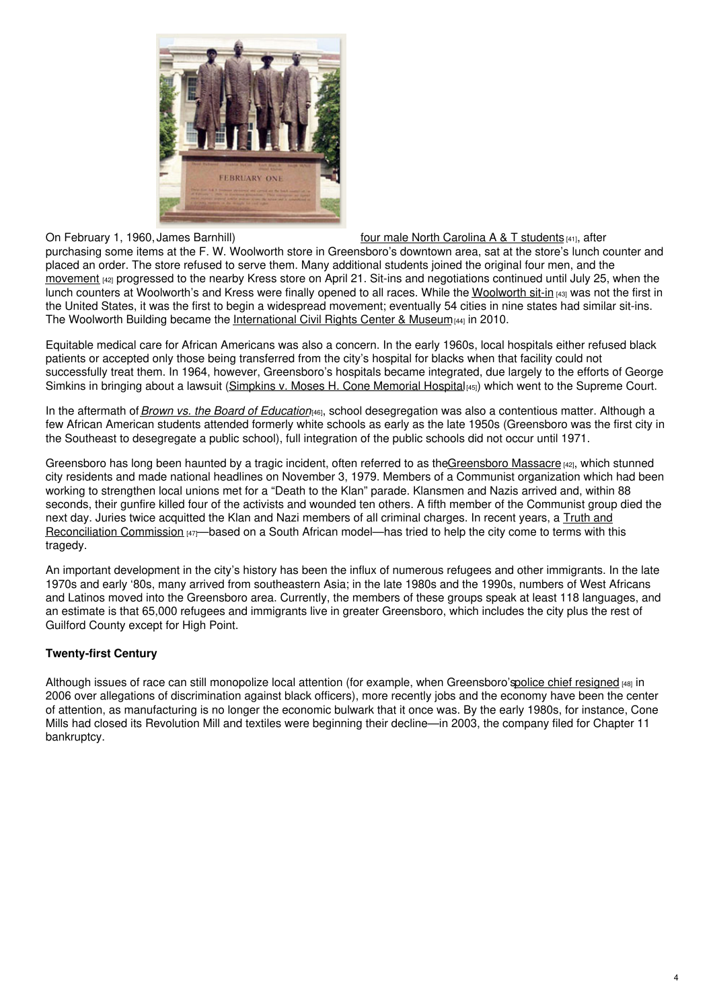

On February 1, 1960, James Barnhill) four male North [Carolina](https://www.ncpedia.org/monument/greensboro-four-monument) A & T students [41], after

purchasing some items at the F. W. Woolworth store in Greensboro's downtown area, sat at the store's lunch counter and placed an order. The store refused to serve them. Many additional students joined the original four men, and the [movement](http://libcdm1.uncg.edu/cdm/landingpage/collection/CivilRights) [42] progressed to the nearby Kress store on April 21. Sit-ins and negotiations continued until July 25, when the lunch counters at Woolworth's and Kress were finally opened to all races. While the [Woolworth](https://www.ncpedia.org/civil-rights-sit-ins) sit-in [43] was not the first in the United States, it was the first to begin a widespread movement; eventually 54 cities in nine states had similar sit-ins. The Woolworth Building became the [International](https://www.sitinmovement.org/) Civil Rights Center & Museum  $144$  in 2010.

Equitable medical care for African Americans was also a concern. In the early 1960s, local hospitals either refused black patients or accepted only those being transferred from the city's hospital for blacks when that facility could not successfully treat them. In 1964, however, Greensboro's hospitals became integrated, due largely to the efforts of George Simkins in bringing about a lawsuit [\(Simpkins](https://www.ncpedia.org/simkins-v-cone) v. Moses H. Cone Memorial Hospital[45]) which went to the Supreme Court.

In the aftermath of*Brown vs. the Board of [Education](http://www.ourdocuments.gov/doc.php?flash=old&doc=87)*[46], school desegregation was also a contentious matter. Although a few African American students attended formerly white schools as early as the late 1950s (Greensboro was the first city in the Southeast to desegregate a public school), full integration of the public schools did not occur until 1971.

Greensboro has long been haunted by a tragic incident, often referred to as th[eGreensboro](http://libcdm1.uncg.edu/cdm/landingpage/collection/CivilRights) Massacre  $[42]$ , which stunned city residents and made national headlines on November 3, 1979. Members of a Communist organization which had been working to strengthen local unions met for a "Death to the Klan" parade. Klansmen and Nazis arrived and, within 88 seconds, their gunfire killed four of the activists and wounded ten others. A fifth member of the Communist group died the next day. Juries twice acquitted the Klan and Nazi members of all criminal charges. In recent years, a Truth and [Reconciliation](https://greensborotrc.org/) Commission [47]—based on a South African model—has tried to help the city come to terms with this tragedy.

An important development in the city's history has been the influx of numerous refugees and other immigrants. In the late 1970s and early '80s, many arrived from southeastern Asia; in the late 1980s and the 1990s, numbers of West Africans and Latinos moved into the Greensboro area. Currently, the members of these groups speak at least 118 languages, and an estimate is that 65,000 refugees and immigrants live in greater Greensboro, which includes the city plus the rest of Guilford County except for High Point.

# **Twenty-first Century**

Although issues of race can still monopolize local attention (for example, when Greensboro'spolice chief [resigned](https://www.wxii12.com/local-news) [48] in 2006 over allegations of discrimination against black officers), more recently jobs and the economy have been the center of attention, as manufacturing is no longer the economic bulwark that it once was. By the early 1980s, for instance, Cone Mills had closed its Revolution Mill and textiles were beginning their decline—in 2003, the company filed for Chapter 11 bankruptcy.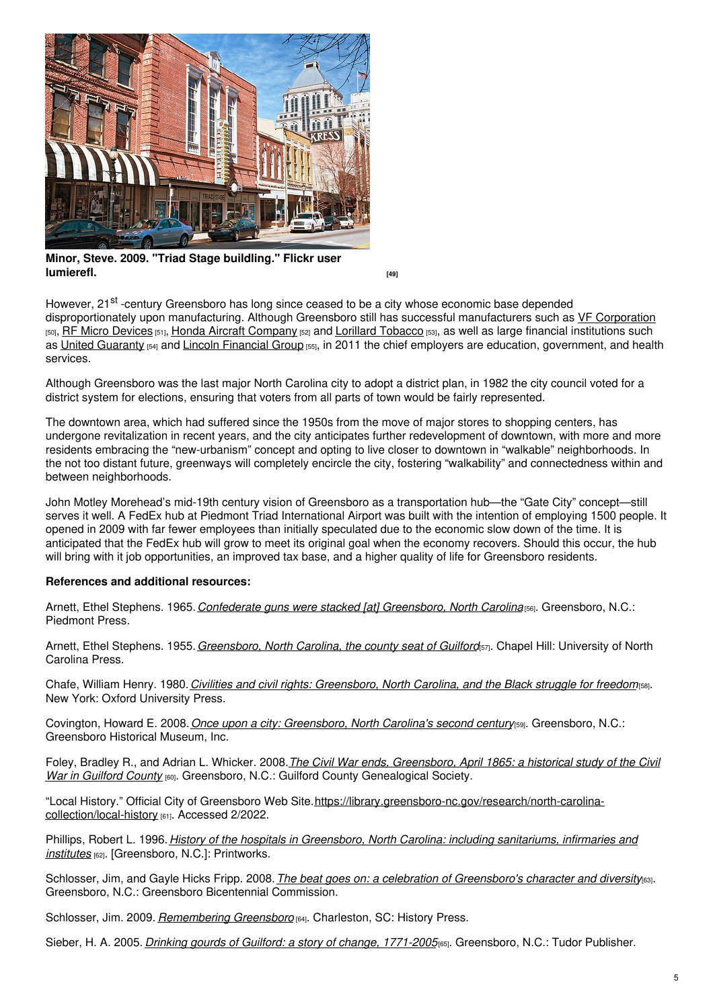

**Minor, Steve. 2009. "Triad Stage buildling." Flickr user [lumierefl.](https://www.flickr.com/photos/sminor/3776388502/)** *cancel and <b>a luming the set of the set of the set of the set of the set of the set of the set of the set of the set of the set of the set of the set of the set of the set of the set of the set of the se* 

However, 21<sup>st</sup> -century Greensboro has long since ceased to be a city whose economic base depended disproportionately upon manufacturing. Although Greensboro still has successful manufacturers such as VF [Corporation](http://www.vfc.com/) [50], RF Micro [Devices](https://www.qorvo.com/) [51], Honda Aircraft [Company](https://www.hondajet.com/) [52] and Lorillard [Tobacco](https://www.reynoldsamerican.com/) [53], as well as large financial institutions such as United [Guaranty](https://www.ugcorp.com/) [54] and Lincoln [Financial](https://www.lincolnfinancial.com/public/individuals) Group [55], in 2011 the chief employers are education, government, and health services.

Although Greensboro was the last major North Carolina city to adopt a district plan, in 1982 the city council voted for a district system for elections, ensuring that voters from all parts of town would be fairly represented.

The downtown area, which had suffered since the 1950s from the move of major stores to shopping centers, has undergone revitalization in recent years, and the city anticipates further redevelopment of downtown, with more and more residents embracing the "new-urbanism" concept and opting to live closer to downtown in "walkable" neighborhoods. In the not too distant future, greenways will completely encircle the city, fostering "walkability" and connectedness within and between neighborhoods.

John Motley Morehead's mid-19th century vision of Greensboro as a transportation hub—the "Gate City" concept—still serves it well. A FedEx hub at Piedmont Triad International Airport was built with the intention of employing 1500 people. It opened in 2009 with far fewer employees than initially speculated due to the economic slow down of the time. It is anticipated that the FedEx hub will grow to meet its original goal when the economy recovers. Should this occur, the hub will bring with it job opportunities, an improved tax base, and a higher quality of life for Greensboro residents.

### **References and additional resources:**

Arnett, Ethel Stephens. 1965.*Confederate guns were stacked [at] [Greensboro,](https://www.worldcat.org/oclc/3589160) North Carolina*[56]. Greensboro, N.C.: Piedmont Press.

Arnett, Ethel Stephens. 1955.*[Greensboro,](https://www.worldcat.org/oclc/3998681) North Carolina, the county seat of Guilford*[57]. Chapel Hill: University of North Carolina Press.

Chafe, William Henry. 1980.*Civilities and civil rights: [Greensboro,](https://www.worldcat.org/oclc/4957224) North Carolina, and the Black struggle for freedom*[58]. New York: Oxford University Press.

Covington, Howard E. 2008.*Once upon a city: [Greensboro,](https://www.worldcat.org/oclc/214934238) North Carolina's second century*[59]. Greensboro, N.C.: Greensboro Historical Museum, Inc.

Foley, Bradley R., and Adrian L. Whicker. 2008.*The Civil War ends, [Greensboro,](https://www.worldcat.org/oclc/219667966) April 1865: a historical study of the Civil War in Guilford County* [60]. Greensboro, N.C.: Guilford County Genealogical Society.

"Local History." Official City of Greensboro Web [Site.https://library.greensboro-nc.gov/research/north-carolina](https://library.greensboro-nc.gov/research/north-carolina-collection/local-history)collection/local-history [61]. Accessed 2/2022.

Phillips, Robert L. 1996. *History of the hospitals in [Greensboro,](https://www.worldcat.org/oclc/35894297) North Carolina: including sanitariums, infirmaries and institutes* [62]. [Greensboro, N.C.]: Printworks.

Schlosser, Jim, and Gayle Hicks Fripp. 2008.*The beat goes on: a celebration of [Greensboro's](https://www.worldcat.org/oclc/191891331) character and diversity*[63]. Greensboro, N.C.: Greensboro Bicentennial Commission.

Schlosser, Jim. 2009. *[Remembering](https://www.worldcat.org/oclc/456977590) Greensboro* [64]. Charleston, SC: History Press.

Sieber, H. A. 2005. *Drinking gourds of Guilford: a story of change, [1771-2005](https://www.worldcat.org/oclc/61529858)*[65]. Greensboro, N.C.: Tudor Publisher.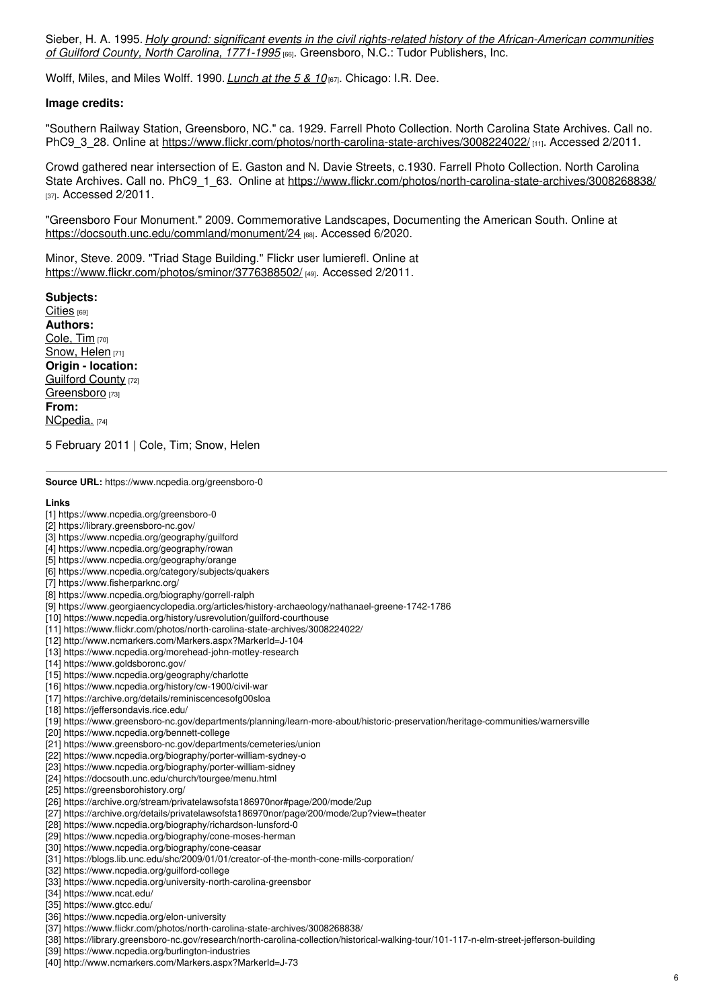Sieber, H. A. 1995. *Holy ground: significant events in the civil rights-related history of the [African-American](https://www.worldcat.org/oclc/33132055) communities of Guilford County, North Carolina, 1771-1995* [66]. Greensboro, N.C.: Tudor Publishers, Inc.

Wolff, Miles, and Miles Wolff. 1990. *[Lunch](https://www.worldcat.org/oclc/21372884) at the 5 & 10* [67]. Chicago: I.R. Dee.

#### **Image credits:**

"Southern Railway Station, Greensboro, NC." ca. 1929. Farrell Photo Collection. North Carolina State Archives. Call no. PhC9\_3\_28. Online at <https://www.flickr.com/photos/north-carolina-state-archives/3008224022/> [11]. Accessed 2/2011.

Crowd gathered near intersection of E. Gaston and N. Davie Streets, c.1930. Farrell Photo Collection. North Carolina State Archives. Call no. PhC9 1 63. Online at <https://www.flickr.com/photos/north-carolina-state-archives/3008268838/> [37]. Accessed 2/2011.

"Greensboro Four Monument." 2009. Commemorative Landscapes, Documenting the American South. Online at <https://docsouth.unc.edu/commland/monument/24> [68]. Accessed 6/2020.

Minor, Steve. 2009. "Triad Stage Building." Flickr user lumierefl. Online at <https://www.flickr.com/photos/sminor/3776388502/> [49]. Accessed 2/2011.

**Subjects:** [Cities](https://www.ncpedia.org/category/subjects/cities) [69] **Authors:** [Cole,](https://www.ncpedia.org/category/authors/cole-tim) Tim [70] [Snow,](https://www.ncpedia.org/category/authors/snow-helen) Helen [71] **Origin - location:** [Guilford](https://www.ncpedia.org/category/origin-location/piedmont-4) County [72] [Greensboro](https://www.ncpedia.org/category/origin-location/piedmon-21) [73] **From:** [NCpedia.](https://www.ncpedia.org/category/entry-source/ncpedia) [74]

5 February 2011 | Cole, Tim; Snow, Helen

**Source URL:** https://www.ncpedia.org/greensboro-0

#### **Links**

- [1] https://www.ncpedia.org/greensboro-0
- [2] https://library.greensboro-nc.gov/
- [3] https://www.ncpedia.org/geography/guilford
- [4] https://www.ncpedia.org/geography/rowan
- [5] https://www.ncpedia.org/geography/orange
- [6] https://www.ncpedia.org/category/subjects/quakers
- [7] https://www.fisherparknc.org/
- [8] https://www.ncpedia.org/biography/gorrell-ralph
- [9] https://www.georgiaencyclopedia.org/articles/history-archaeology/nathanael-greene-1742-1786
- [10] https://www.ncpedia.org/history/usrevolution/guilford-courthouse
- [11] https://www.flickr.com/photos/north-carolina-state-archives/3008224022/
- [12] http://www.ncmarkers.com/Markers.aspx?MarkerId=J-104
- [13] https://www.ncpedia.org/morehead-john-motley-research
- [14] https://www.goldsboronc.gov/
- [15] https://www.ncpedia.org/geography/charlotte
- [16] https://www.ncpedia.org/history/cw-1900/civil-war
- [17] https://archive.org/details/reminiscencesofg00sloa
- [18] https://jeffersondavis.rice.edu/
- [19] https://www.greensboro-nc.gov/departments/planning/learn-more-about/historic-preservation/heritage-communities/warnersville
- [20] https://www.ncpedia.org/bennett-college
- [21] https://www.greensboro-nc.gov/departments/cemeteries/union
- [22] https://www.ncpedia.org/biography/porter-william-sydney-o
- [23] https://www.ncpedia.org/biography/porter-william-sidney
- [24] https://docsouth.unc.edu/church/tourgee/menu.html
- [25] https://greensborohistory.org/

#### [26] https://archive.org/stream/privatelawsofsta186970nor#page/200/mode/2up

- [27] https://archive.org/details/privatelawsofsta186970nor/page/200/mode/2up?view=theater
- [28] https://www.ncpedia.org/biography/richardson-lunsford-0
- [29] https://www.ncpedia.org/biography/cone-moses-herman
- [30] https://www.ncpedia.org/biography/cone-ceasar
- [31] https://blogs.lib.unc.edu/shc/2009/01/01/creator-of-the-month-cone-mills-corporation/
- [32] https://www.ncpedia.org/guilford-college
- [33] https://www.ncpedia.org/university-north-carolina-greensbor
- [34] https://www.ncat.edu/
- [35] https://www.gtcc.edu/
- [36] https://www.ncpedia.org/elon-university
- [37] https://www.flickr.com/photos/north-carolina-state-archives/3008268838/
- [38] https://library.greensboro-nc.gov/research/north-carolina-collection/historical-walking-tour/101-117-n-elm-street-jefferson-building
- [39] https://www.ncpedia.org/burlington-industries
- [40] http://www.ncmarkers.com/Markers.aspx?MarkerId=J-73